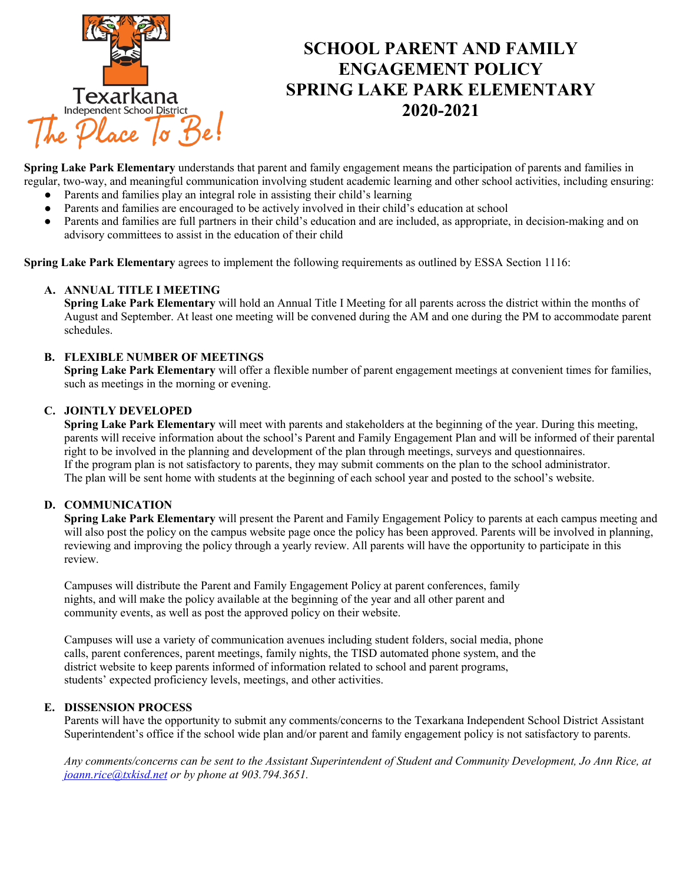

# **SCHOOL PARENT AND FAMILY ENGAGEMENT POLICY SPRING LAKE PARK ELEMENTARY 2020-2021**

**Spring Lake Park Elementary** understands that parent and family engagement means the participation of parents and families in regular, two-way, and meaningful communication involving student academic learning and other school activities, including ensuring:

- Parents and families play an integral role in assisting their child's learning
- Parents and families are encouraged to be actively involved in their child's education at school
- Parents and families are full partners in their child's education and are included, as appropriate, in decision-making and on advisory committees to assist in the education of their child

**Spring Lake Park Elementary** agrees to implement the following requirements as outlined by ESSA Section 1116:

#### **A. ANNUAL TITLE I MEETING**

**Spring Lake Park Elementary** will hold an Annual Title I Meeting for all parents across the district within the months of August and September. At least one meeting will be convened during the AM and one during the PM to accommodate parent schedules.

#### **B. FLEXIBLE NUMBER OF MEETINGS**

**Spring Lake Park Elementary** will offer a flexible number of parent engagement meetings at convenient times for families, such as meetings in the morning or evening.

#### **C. JOINTLY DEVELOPED**

**Spring Lake Park Elementary** will meet with parents and stakeholders at the beginning of the year. During this meeting, parents will receive information about the school's Parent and Family Engagement Plan and will be informed of their parental right to be involved in the planning and development of the plan through meetings, surveys and questionnaires. If the program plan is not satisfactory to parents, they may submit comments on the plan to the school administrator. The plan will be sent home with students at the beginning of each school year and posted to the school's website.

#### **D. COMMUNICATION**

**Spring Lake Park Elementary** will present the Parent and Family Engagement Policy to parents at each campus meeting and will also post the policy on the campus website page once the policy has been approved. Parents will be involved in planning, reviewing and improving the policy through a yearly review. All parents will have the opportunity to participate in this review.

Campuses will distribute the Parent and Family Engagement Policy at parent conferences, family nights, and will make the policy available at the beginning of the year and all other parent and community events, as well as post the approved policy on their website.

Campuses will use a variety of communication avenues including student folders, social media, phone calls, parent conferences, parent meetings, family nights, the TISD automated phone system, and the district website to keep parents informed of information related to school and parent programs, students' expected proficiency levels, meetings, and other activities.

#### **E. DISSENSION PROCESS**

Parents will have the opportunity to submit any comments/concerns to the Texarkana Independent School District Assistant Superintendent's office if the school wide plan and/or parent and family engagement policy is not satisfactory to parents.

*Any comments/concerns can be sent to the Assistant Superintendent of Student and Community Development, Jo Ann Rice, at [joann.rice@txkisd.net](mailto:joann.rice@txkisd.net) or by phone at 903.794.3651.*